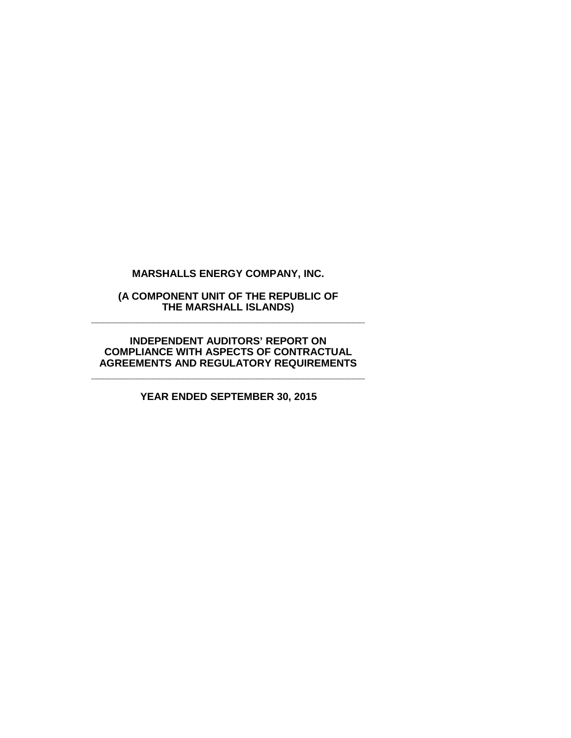**MARSHALLS ENERGY COMPANY, INC.**

**(A COMPONENT UNIT OF THE REPUBLIC OF THE MARSHALL ISLANDS) \_\_\_\_\_\_\_\_\_\_\_\_\_\_\_\_\_\_\_\_\_\_\_\_\_\_\_\_\_\_\_\_\_\_\_\_\_\_\_\_\_\_\_\_\_\_\_\_**

**INDEPENDENT AUDITORS' REPORT ON COMPLIANCE WITH ASPECTS OF CONTRACTUAL AGREEMENTS AND REGULATORY REQUIREMENTS**

**\_\_\_\_\_\_\_\_\_\_\_\_\_\_\_\_\_\_\_\_\_\_\_\_\_\_\_\_\_\_\_\_\_\_\_\_\_\_\_\_\_\_\_\_\_\_\_\_**

**YEAR ENDED SEPTEMBER 30, 2015**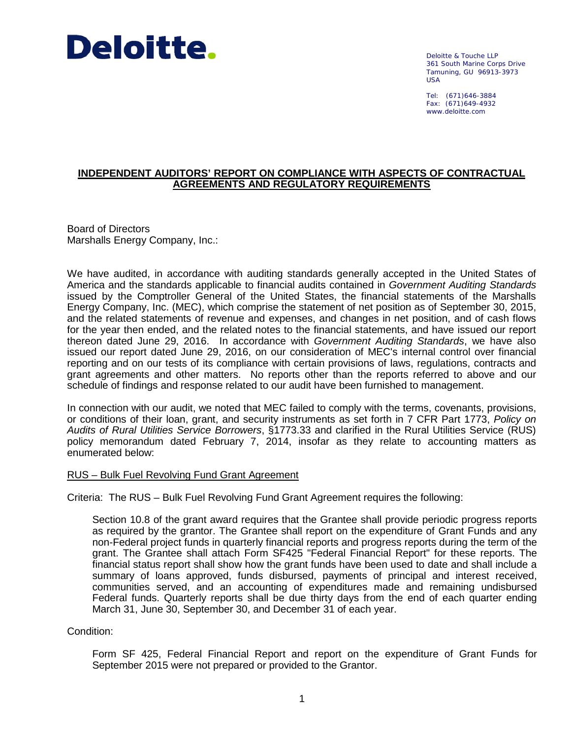

Deloitte & Touche LLP 361 South Marine Corps Drive Tamuning, GU 96913-3973 USA

Tel: (671)646-3884 Fax: (671)649-4932 www.deloitte.com

## **INDEPENDENT AUDITORS' REPORT ON COMPLIANCE WITH ASPECTS OF CONTRACTUAL AGREEMENTS AND REGULATORY REQUIREMENTS**

Board of Directors Marshalls Energy Company, Inc.:

We have audited, in accordance with auditing standards generally accepted in the United States of America and the standards applicable to financial audits contained in *Government Auditing Standards* issued by the Comptroller General of the United States, the financial statements of the Marshalls Energy Company, Inc. (MEC), which comprise the statement of net position as of September 30, 2015, and the related statements of revenue and expenses, and changes in net position, and of cash flows for the year then ended, and the related notes to the financial statements, and have issued our report thereon dated June 29, 2016. In accordance with *Government Auditing Standards*, we have also issued our report dated June 29, 2016, on our consideration of MEC's internal control over financial reporting and on our tests of its compliance with certain provisions of laws, regulations, contracts and grant agreements and other matters. No reports other than the reports referred to above and our schedule of findings and response related to our audit have been furnished to management.

In connection with our audit, we noted that MEC failed to comply with the terms, covenants, provisions, or conditions of their loan, grant, and security instruments as set forth in 7 CFR Part 1773, *Policy on Audits of Rural Utilities Service Borrowers*, §1773.33 and clarified in the Rural Utilities Service (RUS) policy memorandum dated February 7, 2014, insofar as they relate to accounting matters as enumerated below:

## RUS – Bulk Fuel Revolving Fund Grant Agreement

Criteria: The RUS – Bulk Fuel Revolving Fund Grant Agreement requires the following:

Section 10.8 of the grant award requires that the Grantee shall provide periodic progress reports as required by the grantor. The Grantee shall report on the expenditure of Grant Funds and any non-Federal project funds in quarterly financial reports and progress reports during the term of the grant. The Grantee shall attach Form SF425 "Federal Financial Report" for these reports. The financial status report shall show how the grant funds have been used to date and shall include a summary of loans approved, funds disbursed, payments of principal and interest received, communities served, and an accounting of expenditures made and remaining undisbursed Federal funds. Quarterly reports shall be due thirty days from the end of each quarter ending March 31, June 30, September 30, and December 31 of each year.

Condition:

Form SF 425, Federal Financial Report and report on the expenditure of Grant Funds for September 2015 were not prepared or provided to the Grantor.